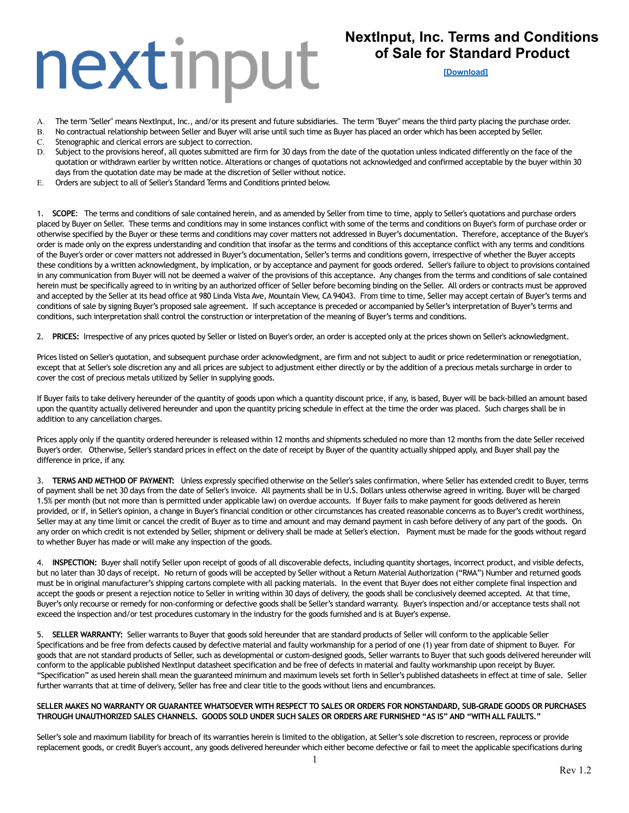### **NextInput, Inc. Terms and Conditions of Sale for Standard Product**

#### **[\[Download\]](https://nextinput.com/nextinput-inc-terms-and-conditions-of-sale/)**

- A. The term "Seller" means NextInput, Inc., and/or its present and future subsidiaries. The term "Buyer" means the third party placing the purchase order.
- B. No contractual relationship between Seller and Buyer will arise until such time as Buyer has placed an order which has been accepted by Seller.
- C. Stenographic and clerical errors are subject to correction.
- D. Subject to the provisions hereof, all quotes submitted are firm for 30 days from the date of the quotation unless indicated differently on the face of the quotation or withdrawn earlier by written notice. Alterations or changes of quotations not acknowledged and confirmed acceptable by the buyer within 30 days from the quotation date may be made at the discretion of Seller without notice.
- E. Orders are subject to all of Seller's Standard Terms and Conditions printed below.

1. **SCOPE**: The terms and conditions of sale contained herein, and as amended by Seller from time to time, apply to Seller's quotations and purchase orders placed by Buyer on Seller. These terms and conditions may in some instances conflict with some of the terms and conditions on Buyer's form of purchase order or otherwise specified by the Buyer or these terms and conditions may cover matters not addressed in Buyer's documentation. Therefore, acceptance of the Buyer's order is made only on the express understanding and condition that insofar as the terms and conditions of this acceptance conflict with any terms and conditions of the Buyer's order or cover matters not addressed in Buyer's documentation, Seller's terms and conditions govern, irrespective of whether the Buyer accepts these conditions by a written acknowledgment, by implication, or by acceptance and payment for goods ordered. Seller's failure to object to provisions contained in any communication from Buyer will not be deemed a waiver of the provisions of this acceptance. Any changes from the terms and conditions of sale contained herein must be specifically agreed to in writing by an authorized officer of Seller before becoming binding on the Seller. All orders or contracts must be approved and accepted by the Seller at its head office at 980 Linda Vista Ave, Mountain View, CA 94043. From time to time, Seller may accept certain of Buyer's terms and conditions of sale by signing Buyer's proposed sale agreement. If such acceptance is preceded or accompanied by Seller's interpretation of Buyer's terms and conditions, such interpretation shall control the construction or interpretation of the meaning of Buyer's terms and conditions.

2. **PRICES:** Irrespective of any prices quoted by Seller or listed on Buyer's order, an order is accepted only at the prices shown on Seller's acknowledgment.

Prices listed on Seller's quotation, and subsequent purchase order acknowledgment, are firm and not subject to audit or price redetermination or renegotiation, except that at Seller's sole discretion any and all prices are subject to adjustment either directly or by the addition of a precious metals surcharge in order to cover the cost of precious metals utilized by Seller in supplying goods.

If Buyer fails to take delivery hereunder of the quantity of goods upon which a quantity discount price, if any, is based, Buyer will be back-billed an amount based upon the quantity actually delivered hereunder and upon the quantity pricing schedule in effect at the time the order was placed. Such charges shall be in addition to any cancellation charges.

Prices apply only if the quantity ordered hereunder is released within 12 months and shipments scheduled no more than 12 months from the date Seller received Buyer's order. Otherwise, Seller's standard prices in effect on the date of receipt by Buyer of the quantity actually shipped apply, and Buyer shall pay the difference in price, if any.

3. **TERMS AND METHOD OF PAYMENT:** Unless expressly specified otherwise on the Seller's sales confirmation, where Seller has extended credit to Buyer, terms of payment shall be net 30 days from the date of Seller's invoice. All payments shall be in U.S. Dollars unless otherwise agreed in writing. Buyer will be charged 1.5% per month (but not more than is permitted under applicable law) on overdue accounts. If Buyer fails to make payment for goods delivered as herein provided, or if, in Seller's opinion, a change in Buyer's financial condition or other circumstances has created reasonable concerns as to Buyer's credit worthiness, Seller may at any time limit or cancel the credit of Buyer as to time and amount and may demand payment in cash before delivery of any part of the goods. On any order on which credit is not extended by Seller, shipment or delivery shall be made at Seller's election. Payment must be made for the goods without regard to whether Buyer has made or will make any inspection of the goods.

4. **INSPECTION:** Buyer shall notify Seller upon receipt of goods of all discoverable defects, including quantity shortages, incorrect product, and visible defects, but no later than 30 days of receipt. No return of goods will be accepted by Seller without a Return Material Authorization ("RMA") Number and returned goods must be in original manufacturer's shipping cartons complete with all packing materials. In the event that Buyer does not either complete final inspection and accept the goods or present a rejection notice to Seller in writing within 30 days of delivery, the goods shall be conclusively deemed accepted. At that time, Buyer's only recourse or remedy for non-conforming or defective goods shall be Seller's standard warranty. Buyer's inspection and/or acceptance tests shall not exceed the inspection and/or test procedures customary in the industry for the goods furnished and is at Buyer's expense.

5. **SELLER WARRANTY:** Seller warrants to Buyer that goods sold hereunder that are standard products of Seller will conform to the applicable Seller Specifications and be free from defects caused by defective material and faulty workmanship for a period of one (1) year from date of shipment to Buyer. For goods that are not standard products of Seller, such as developmental or custom-designed goods, Seller warrants to Buyer that such goods delivered hereunder will conform to the applicable published NextInput datasheet specification and be free of defects in material and faulty workmanship upon receipt by Buyer. "Specification" as used herein shall mean the guaranteed minimum and maximum levels set forth in Seller's published datasheets in effect at time of sale. Seller further warrants that at time of delivery, Seller has free and clear title to the goods without liens and encumbrances.

#### **SELLER MAKES NO WARRANTY OR GUARANTEE WHATSOEVER WITH RESPECT TO SALES OR ORDERS FOR NONSTANDARD, SUB-GRADE GOODS OR PURCHASES THROUGH UNAUTHORIZED SALES CHANNELS. GOODS SOLD UNDER SUCH SALES OR ORDERS ARE FURNISHED "AS IS" AND "WITH ALL FAULTS."**

Seller's sole and maximum liability for breach of its warranties herein is limited to the obligation, at Seller's sole discretion to rescreen, reprocess or provide replacement goods, or credit Buyer's account, any goods delivered hereunder which either become defective or fail to meet the applicable specifications during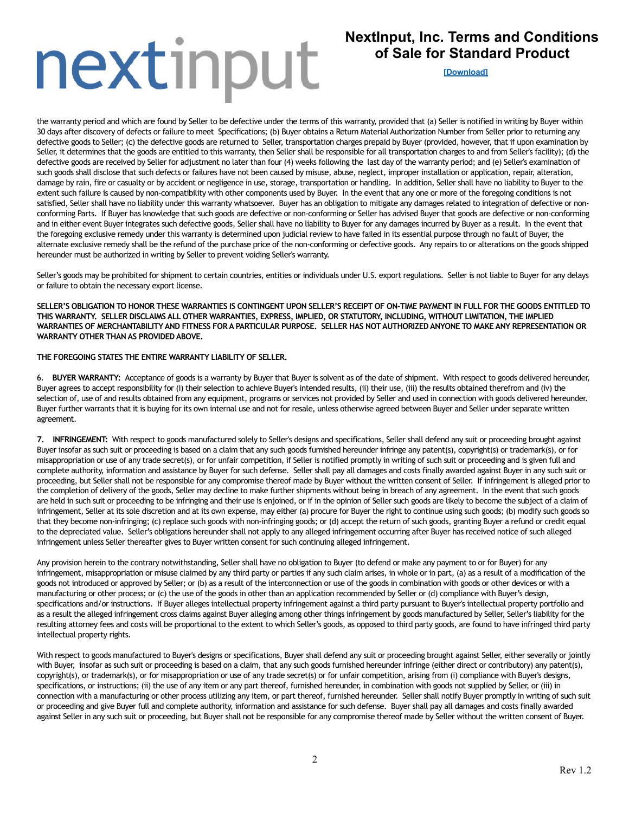## **NextInput, Inc. Terms and Conditions of Sale for Standard Product**

**[\[Download\]](https://nextinput.com/nextinput-inc-terms-and-conditions-of-sale/)**

the warranty period and which are found by Seller to be defective under the terms of this warranty, provided that (a) Seller is notified in writing by Buyer within 30 days after discovery of defects or failure to meet Specifications; (b) Buyer obtains a Return Material Authorization Number from Seller prior to returning any defective goods to Seller; (c) the defective goods are returned to Seller, transportation charges prepaid by Buyer (provided, however, that if upon examination by Seller, it determines that the goods are entitled to this warranty, then Seller shall be responsible for all transportation charges to and from Seller's facility); (d) the defective goods are received by Seller for adjustment no later than four (4) weeks following the last day of the warranty period; and (e) Seller's examination of such goods shall disclose that such defects or failures have not been caused by misuse, abuse, neglect, improper installation or application, repair, alteration, damage by rain, fire or casualty or by accident or negligence in use, storage, transportation or handling. In addition, Seller shall have no liability to Buyer to the extent such failure is caused by non-compatibility with other components used by Buyer. In the event that any one or more of the foregoing conditions is not satisfied, Seller shall have no liability under this warranty whatsoever. Buyer has an obligation to mitigate any damages related to integration of defective or nonconforming Parts. If Buyer has knowledge that such goods are defective or non-conforming or Seller has advised Buyer that goods are defective or non-conforming and in either event Buyer integrates such defective goods, Seller shall have no liability to Buyer for any damages incurred by Buyer as a result. In the event that the foregoing exclusive remedy under this warranty is determined upon judicial review to have failed in its essential purpose through no fault of Buyer, the alternate exclusive remedy shall be the refund of the purchase price of the non-conforming or defective goods. Any repairs to or alterations on the goods shipped hereunder must be authorized in writing by Seller to prevent voiding Seller's warranty.

Seller's goods may be prohibited for shipment to certain countries, entities or individuals under U.S. export regulations. Seller is not liable to Buyer for any delays or failure to obtain the necessary export license.

**SELLER'S OBLIGATION TO HONOR THESE WARRANTIES IS CONTINGENT UPON SELLER'S RECEIPT OF ON-TIME PAYMENT IN FULL FOR THE GOODS ENTITLED TO THIS WARRANTY. SELLER DISCLAIMS ALL OTHER WARRANTIES, EXPRESS, IMPLIED, OR STATUTORY, INCLUDING, WITHOUT LIMITATION, THE IMPLIED WARRANTIES OF MERCHANTABILITY AND FITNESS FOR A PARTICULAR PURPOSE. SELLER HAS NOT AUTHORIZED ANYONE TO MAKE ANY REPRESENTATION OR WARRANTY OTHER THAN AS PROVIDED ABOVE.**

#### **THE FOREGOING STATES THE ENTIRE WARRANTY LIABILITY OF SELLER.**

6. **BUYER WARRANTY:** Acceptance of goods is a warranty by Buyer that Buyer is solvent as of the date of shipment. With respect to goods delivered hereunder, Buyer agrees to accept responsibility for (i) their selection to achieve Buyer's intended results, (ii) their use, (iii) the results obtained therefrom and (iv) the selection of, use of and results obtained from any equipment, programs or services not provided by Seller and used in connection with goods delivered hereunder. Buyer further warrants that it is buying for its own internal use and not for resale, unless otherwise agreed between Buyer and Seller under separate written agreement.

**7. INFRINGEMENT:** With respect to goods manufactured solely to Seller's designs and specifications, Seller shall defend any suit or proceeding brought against Buyer insofar as such suit or proceeding is based on a claim that any such goods furnished hereunder infringe any patent(s), copyright(s) or trademark(s), or for misappropriation or use of any trade secret(s), or for unfair competition, if Seller is notified promptly in writing of such suit or proceeding and is given full and complete authority, information and assistance by Buyer for such defense. Seller shall pay all damages and costs finally awarded against Buyer in any such suit or proceeding, but Seller shall not be responsible for any compromise thereof made by Buyer without the written consent of Seller. If infringement is alleged prior to the completion of delivery of the goods, Seller may decline to make further shipments without being in breach of any agreement. In the event that such goods are held in such suit or proceeding to be infringing and their use is enjoined, or if in the opinion of Seller such goods are likely to become the subject of a claim of infringement, Seller at its sole discretion and at its own expense, may either (a) procure for Buyer the right to continue using such goods; (b) modify such goods so that they become non-infringing; (c) replace such goods with non-infringing goods; or (d) accept the return of such goods, granting Buyer a refund or credit equal to the depreciated value. Seller's obligations hereunder shall not apply to any alleged infringement occurring after Buyer has received notice of such alleged infringement unless Seller thereafter gives to Buyer written consent for such continuing alleged infringement.

Any provision herein to the contrary notwithstanding, Seller shall have no obligation to Buyer (to defend or make any payment to or for Buyer) for any infringement, misappropriation or misuse claimed by any third party or parties if any such claim arises, in whole or in part, (a) as a result of a modification of the goods not introduced or approved by Seller; or (b) as a result of the interconnection or use of the goods in combination with goods or other devices or with a manufacturing or other process; or (c) the use of the goods in other than an application recommended by Seller or (d) compliance with Buyer's design, specifications and/or instructions. If Buyer alleges intellectual property infringement against a third party pursuant to Buyer's intellectual property portfolio and as a result the alleged infringement cross claims against Buyer alleging among other things infringement by goods manufactured by Seller, Seller's liability for the resulting attorney fees and costs will be proportional to the extent to which Seller's goods, as opposed to third party goods, are found to have infringed third party intellectual property rights.

With respect to goods manufactured to Buyer's designs or specifications, Buyer shall defend any suit or proceeding brought against Seller, either severally or jointly with Buyer, insofar as such suit or proceeding is based on a claim, that any such goods furnished hereunder infringe (either direct or contributory) any patent(s), copyright(s), or trademark(s), or for misappropriation or use of any trade secret(s) or for unfair competition, arising from (i) compliance with Buyer's designs, specifications, or instructions; (ii) the use of any item or any part thereof, furnished hereunder, in combination with goods not supplied by Seller, or (iii) in connection with a manufacturing or other process utilizing any item, or part thereof, furnished hereunder. Seller shall notify Buyer promptly in writing of such suit or proceeding and give Buyer full and complete authority, information and assistance for such defense. Buyer shall pay all damages and costs finally awarded against Seller in any such suit or proceeding, but Buyer shall not be responsible for any compromise thereof made by Seller without the written consent of Buyer.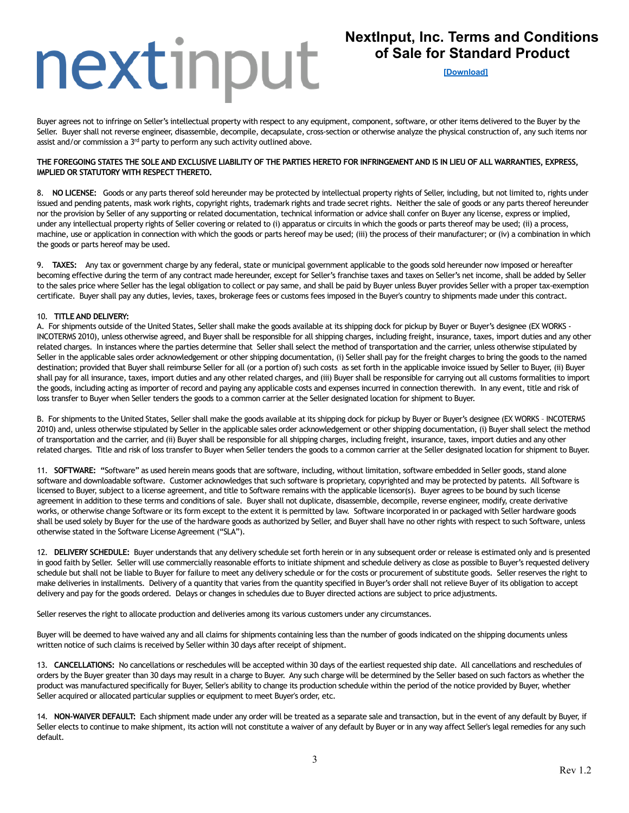### **NextInput, Inc. Terms and Conditions of Sale for Standard Product**

**[\[Download\]](https://nextinput.com/nextinput-inc-terms-and-conditions-of-sale/)**

Buyer agrees not to infringe on Seller's intellectual property with respect to any equipment, component, software, or other items delivered to the Buyer by the Seller. Buyer shall not reverse engineer, disassemble, decompile, decapsulate, cross-section or otherwise analyze the physical construction of, any such items nor assist and/or commission a  $3<sup>rd</sup>$  party to perform any such activity outlined above.

#### **THE FOREGOING STATES THE SOLE AND EXCLUSIVE LIABILITY OF THE PARTIES HERETO FOR INFRINGEMENT AND IS IN LIEU OF ALL WARRANTIES, EXPRESS, IMPLIED OR STATUTORY WITH RESPECT THERETO.**

8. **NO LICENSE:** Goods or any parts thereof sold hereunder may be protected by intellectual property rights of Seller, including, but not limited to, rights under issued and pending patents, mask work rights, copyright rights, trademark rights and trade secret rights. Neither the sale of goods or any parts thereof hereunder nor the provision by Seller of any supporting or related documentation, technical information or advice shall confer on Buyer any license, express or implied, under any intellectual property rights of Seller covering or related to (i) apparatus or circuits in which the goods or parts thereof may be used; (ii) a process, machine, use or application in connection with which the goods or parts hereof may be used; (iii) the process of their manufacturer; or (iv) a combination in which the goods or parts hereof may be used.

9. **TAXES:** Any tax or government charge by any federal, state or municipal government applicable to the goods sold hereunder now imposed or hereafter becoming effective during the term of any contract made hereunder, except for Seller's franchise taxes and taxes on Seller's net income, shall be added by Seller to the sales price where Seller has the legal obligation to collect or pay same, and shall be paid by Buyer unless Buyer provides Seller with a proper tax-exemption certificate. Buyer shall pay any duties, levies, taxes, brokerage fees or customs fees imposed in the Buyer's country to shipments made under this contract.

#### 10. **TITLE AND DELIVERY:**

A. For shipments outside of the United States, Seller shall make the goods available at its shipping dock for pickup by Buyer or Buyer's designee (EX WORKS - INCOTERMS 2010), unless otherwise agreed, and Buyer shall be responsible for all shipping charges, including freight, insurance, taxes, import duties and any other related charges. In instances where the parties determine that Seller shall select the method of transportation and the carrier, unless otherwise stipulated by Seller in the applicable sales order acknowledgement or other shipping documentation, (i) Seller shall pay for the freight charges to bring the goods to the named destination; provided that Buyer shall reimburse Seller for all (or a portion of) such costs as set forth in the applicable invoice issued by Seller to Buyer, (ii) Buyer shall pay for all insurance, taxes, import duties and any other related charges, and (iii) Buyer shall be responsible for carrying out all customs formalities to import the goods, including acting as importer of record and paying any applicable costs and expenses incurred in connection therewith. In any event, title and risk of loss transfer to Buyer when Seller tenders the goods to a common carrier at the Seller designated location for shipment to Buyer.

B. For shipments to the United States, Seller shall make the goods available at its shipping dock for pickup by Buyer or Buyer's designee (EX WORKS – INCOTERMS 2010) and, unless otherwise stipulated by Seller in the applicable sales order acknowledgement or other shipping documentation, (i) Buyer shall select the method of transportation and the carrier, and (ii) Buyer shall be responsible for all shipping charges, including freight, insurance, taxes, import duties and any other related charges. Title and risk of loss transfer to Buyer when Seller tenders the goods to a common carrier at the Seller designated location for shipment to Buyer.

11. **SOFTWARE: "**Software" as used herein means goods that are software, including, without limitation, software embedded in Seller goods, stand alone software and downloadable software. Customer acknowledges that such software is proprietary, copyrighted and may be protected by patents. All Software is licensed to Buyer, subject to a license agreement, and title to Software remains with the applicable licensor(s). Buyer agrees to be bound by such license agreement in addition to these terms and conditions of sale. Buyer shall not duplicate, disassemble, decompile, reverse engineer, modify, create derivative works, or otherwise change Software or its form except to the extent it is permitted by law. Software incorporated in or packaged with Seller hardware goods shall be used solely by Buyer for the use of the hardware goods as authorized by Seller, and Buyer shall have no other rights with respect to such Software, unless otherwise stated in the Software License Agreement ("SLA").

12. **DELIVERY SCHEDULE:** Buyer understands that any delivery schedule set forth herein or in any subsequent order or release is estimated only and is presented in good faith by Seller. Seller will use commercially reasonable efforts to initiate shipment and schedule delivery as close as possible to Buyer's requested delivery schedule but shall not be liable to Buyer for failure to meet any delivery schedule or for the costs or procurement of substitute goods. Seller reserves the right to make deliveries in installments. Delivery of a quantity that varies from the quantity specified in Buyer's order shall not relieve Buyer of its obligation to accept delivery and pay for the goods ordered. Delays or changes in schedules due to Buyer directed actions are subject to price adjustments.

Seller reserves the right to allocate production and deliveries among its various customers under any circumstances.

Buyer will be deemed to have waived any and all claims for shipments containing less than the number of goods indicated on the shipping documents unless written notice of such claims is received by Seller within 30 days after receipt of shipment.

13. **CANCELLATIONS:** No cancellations or reschedules will be accepted within 30 days of the earliest requested ship date. All cancellations and reschedules of orders by the Buyer greater than 30 days may result in a charge to Buyer. Any such charge will be determined by the Seller based on such factors as whether the product was manufactured specifically for Buyer, Seller's ability to change its production schedule within the period of the notice provided by Buyer, whether Seller acquired or allocated particular supplies or equipment to meet Buyer's order, etc.

14. **NON-WAIVER DEFAULT:** Each shipment made under any order will be treated as a separate sale and transaction, but in the event of any default by Buyer, if Seller elects to continue to make shipment, its action will not constitute a waiver of any default by Buyer or in any way affect Seller's legal remedies for any such default.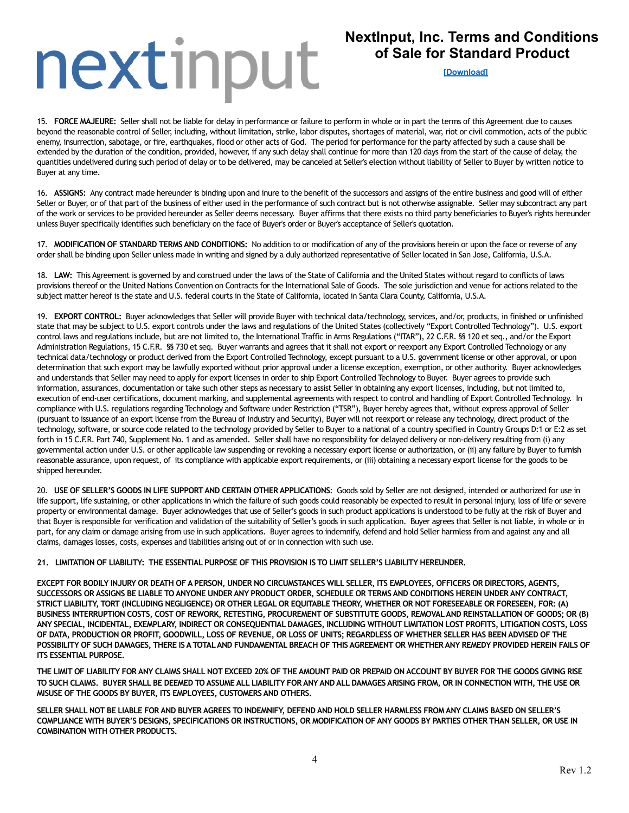## **NextInput, Inc. Terms and Conditions of Sale for Standard Product**

**[\[Download\]](https://nextinput.com/nextinput-inc-terms-and-conditions-of-sale/)**

15. **FORCE MAJEURE:** Seller shall not be liable for delay in performance or failure to perform in whole or in part the terms of this Agreement due to causes beyond the reasonable control of Seller, including, without limitation**,** strike, labor disputes**,** shortages of material, war, riot or civil commotion, acts of the public enemy, insurrection, sabotage, or fire, earthquakes, flood or other acts of God. The period for performance for the party affected by such a cause shall be extended by the duration of the condition, provided, however, if any such delay shall continue for more than 120 days from the start of the cause of delay, the quantities undelivered during such period of delay or to be delivered, may be canceled at Seller's election without liability of Seller to Buyer by written notice to Buyer at any time.

16. **ASSIGNS:** Any contract made hereunder is binding upon and inure to the benefit of the successors and assigns of the entire business and good will of either Seller or Buyer, or of that part of the business of either used in the performance of such contract but is not otherwise assignable. Seller may subcontract any part of the work or services to be provided hereunder as Seller deems necessary. Buyer affirms that there exists no third party beneficiaries to Buyer's rights hereunder unless Buyer specifically identifies such beneficiary on the face of Buyer's order or Buyer's acceptance of Seller's quotation.

17. **MODIFICATION OF STANDARD TERMS AND CONDITIONS:** No addition to or modification of any of the provisions herein or upon the face or reverse of any order shall be binding upon Seller unless made in writing and signed by a duly authorized representative of Seller located in San Jose, California, U.S.A.

18. **LAW:** This Agreement is governed by and construed under the laws of the State of California and the United States without regard to conflicts of laws provisions thereof or the United Nations Convention on Contracts for the International Sale of Goods. The sole jurisdiction and venue for actions related to the subject matter hereof is the state and U.S. federal courts in the State of California, located in Santa Clara County, California, U.S.A.

19. **EXPORT CONTROL:** Buyer acknowledges that Seller will provide Buyer with technical data/technology, services, and/or, products, in finished or unfinished state that may be subject to U.S. export controls under the laws and regulations of the United States (collectively "Export Controlled Technology"). U.S. export control laws and regulations include, but are not limited to, the International Traffic in Arms Regulations ("ITAR"), 22 C.F.R. §§ 120 et seq., and/or the Export Administration Regulations, 15 C.F.R. §§ 730 et seq. Buyer warrants and agrees that it shall not export or reexport any Export Controlled Technology or any technical data/technology or product derived from the Export Controlled Technology, except pursuant to a U.S. government license or other approval, or upon determination that such export may be lawfully exported without prior approval under a license exception, exemption, or other authority. Buyer acknowledges and understands that Seller may need to apply for export licenses in order to ship Export Controlled Technology to Buyer. Buyer agrees to provide such information, assurances, documentation or take such other steps as necessary to assist Seller in obtaining any export licenses, including, but not limited to, execution of end-user certifications, document marking, and supplemental agreements with respect to control and handling of Export Controlled Technology. In compliance with U.S. regulations regarding Technology and Software under Restriction ("TSR"), Buyer hereby agrees that, without express approval of Seller (pursuant to issuance of an export license from the Bureau of Industry and Security), Buyer will not reexport or release any technology, direct product of the technology, software, or source code related to the technology provided by Seller to Buyer to a national of a country specified in Country Groups D:1 or E:2 as set forth in 15 C.F.R. Part 740, Supplement No. 1 and as amended. Seller shall have no responsibility for delayed delivery or non-delivery resulting from (i) any governmental action under U.S. or other applicable law suspending or revoking a necessary export license or authorization, or (ii) any failure by Buyer to furnish reasonable assurance, upon request, of its compliance with applicable export requirements, or (iii) obtaining a necessary export license for the goods to be shipped hereunder.

20. **USE OF SELLER'S GOODS IN LIFE SUPPORT AND CERTAIN OTHER APPLICATIONS**: Goods sold by Seller are not designed, intended or authorized for use in life support, life sustaining, or other applications in which the failure of such goods could reasonably be expected to result in personal injury, loss of life or severe property or environmental damage. Buyer acknowledges that use of Seller's goods in such product applications is understood to be fully at the risk of Buyer and that Buyer is responsible for verification and validation of the suitability of Seller's goods in such application. Buyer agrees that Seller is not liable, in whole or in part, for any claim or damage arising from use in such applications. Buyer agrees to indemnify, defend and hold Seller harmless from and against any and all claims, damages losses, costs, expenses and liabilities arising out of or in connection with such use.

**21. LIMITATION OF LIABILITY: THE ESSENTIAL PURPOSE OF THIS PROVISION IS TO LIMIT SELLER'S LIABILITY HEREUNDER.**

**EXCEPT FOR BODILY INJURY OR DEATH OF A PERSON, UNDER NO CIRCUMSTANCES WILL SELLER, ITS EMPLOYEES, OFFICERS OR DIRECTORS, AGENTS, SUCCESSORS OR ASSIGNS BE LIABLE TO ANYONE UNDER ANY PRODUCT ORDER, SCHEDULE OR TERMS AND CONDITIONS HEREIN UNDER ANY CONTRACT, STRICT LIABILITY, TORT (INCLUDING NEGLIGENCE) OR OTHER LEGAL OR EQUITABLE THEORY, WHETHER OR NOT FORESEEABLE OR FORESEEN, FOR: (A) BUSINESS INTERRUPTION COSTS, COST OF REWORK, RETESTING, PROCUREMENT OF SUBSTITUTE GOODS, REMOVAL AND REINSTALLATION OF GOODS; OR (B) ANY SPECIAL, INCIDENTAL, EXEMPLARY, INDIRECT OR CONSEQUENTIAL DAMAGES, INCLUDING WITHOUT LIMITATION LOST PROFITS, LITIGATION COSTS, LOSS OF DATA, PRODUCTION OR PROFIT, GOODWILL, LOSS OF REVENUE, OR LOSS OF UNITS; REGARDLESS OF WHETHER SELLER HAS BEEN ADVISED OF THE POSSIBILITY OF SUCH DAMAGES, THERE IS A TOTAL AND FUNDAMENTAL BREACH OF THIS AGREEMENT OR WHETHER ANY REMEDY PROVIDED HEREIN FAILS OF ITS ESSENTIAL PURPOSE.**

**THE LIMIT OF LIABILITY FOR ANY CLAIMS SHALL NOT EXCEED 20% OF THE AMOUNT PAID OR PREPAID ON ACCOUNT BY BUYER FOR THE GOODS GIVING RISE TO SUCH CLAIMS. BUYER SHALL BE DEEMED TO ASSUME ALL LIABILITY FOR ANY AND ALL DAMAGES ARISING FROM, OR IN CONNECTION WITH, THE USE OR MISUSE OF THE GOODS BY BUYER, ITS EMPLOYEES, CUSTOMERS AND OTHERS.** 

**SELLER SHALL NOT BE LIABLE FOR AND BUYER AGREES TO INDEMNIFY, DEFEND AND HOLD SELLER HARMLESS FROM ANY CLAIMS BASED ON SELLER'S COMPLIANCE WITH BUYER'S DESIGNS, SPECIFICATIONS OR INSTRUCTIONS, OR MODIFICATION OF ANY GOODS BY PARTIES OTHER THAN SELLER, OR USE IN COMBINATION WITH OTHER PRODUCTS.**